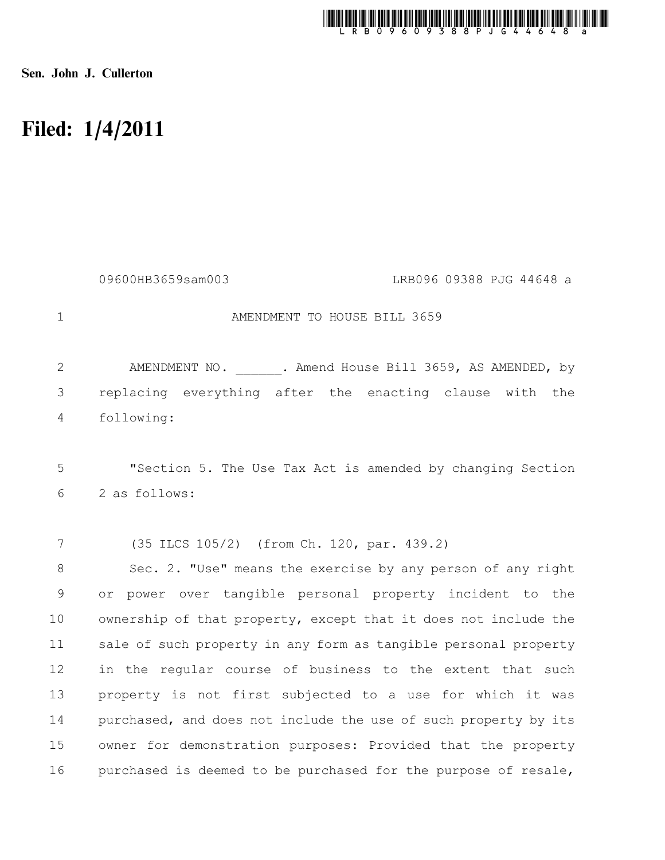

Sen. John J. Cullerton

## Filed: 1/4/2011

|                | 09600HB3659sam003<br>LRB096 09388 PJG 44648 a                   |
|----------------|-----------------------------------------------------------------|
| $\mathbf 1$    | AMENDMENT TO HOUSE BILL 3659                                    |
| $\mathbf{2}$   | AMENDMENT NO. ______. Amend House Bill 3659, AS AMENDED, by     |
| 3              | replacing everything after the enacting clause with<br>the      |
| $\overline{4}$ | following:                                                      |
|                |                                                                 |
| 5              | "Section 5. The Use Tax Act is amended by changing Section      |
| 6              | 2 as follows:                                                   |
|                |                                                                 |
| 7              | (35 ILCS 105/2) (from Ch. 120, par. 439.2)                      |
| 8              | Sec. 2. "Use" means the exercise by any person of any right     |
| $\mathsf 9$    | or power over tangible personal property incident to the        |
| 10             | ownership of that property, except that it does not include the |
| 11             | sale of such property in any form as tangible personal property |
| 12             | in the regular course of business to the extent that such       |
| 13             | property is not first subjected to a use for which it was       |
| 14             | purchased, and does not include the use of such property by its |
| 15             | owner for demonstration purposes: Provided that the property    |
| 16             | purchased is deemed to be purchased for the purpose of resale,  |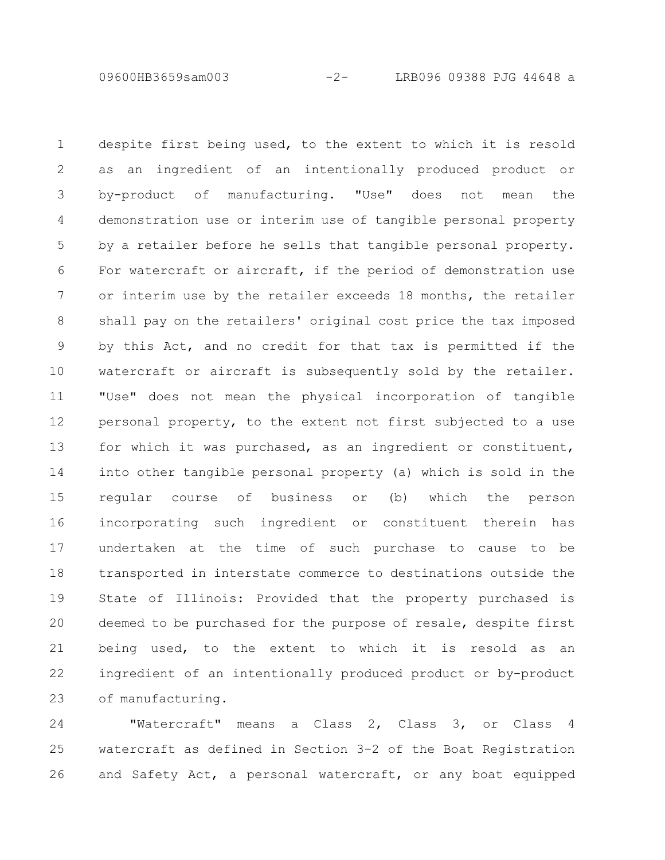09600HB3659sam003 -2- LRB096 09388 PJG 44648 a

despite first being used, to the extent to which it is resold as an ingredient of an intentionally produced product or by-product of manufacturing. "Use" does not mean the demonstration use or interim use of tangible personal property by a retailer before he sells that tangible personal property. For watercraft or aircraft, if the period of demonstration use or interim use by the retailer exceeds 18 months, the retailer shall pay on the retailers' original cost price the tax imposed by this Act, and no credit for that tax is permitted if the watercraft or aircraft is subsequently sold by the retailer. "Use" does not mean the physical incorporation of tangible personal property, to the extent not first subjected to a use for which it was purchased, as an ingredient or constituent, into other tangible personal property (a) which is sold in the regular course of business or (b) which the person incorporating such ingredient or constituent therein has undertaken at the time of such purchase to cause to be transported in interstate commerce to destinations outside the State of Illinois: Provided that the property purchased is deemed to be purchased for the purpose of resale, despite first being used, to the extent to which it is resold as an ingredient of an intentionally produced product or by-product of manufacturing. 1 2 3 4 5 6 7 8 9 10 11 12 13 14 15 16 17 18 19 20 21 22 23

"Watercraft" means a Class 2, Class 3, or Class 4 watercraft as defined in Section 3-2 of the Boat Registration and Safety Act, a personal watercraft, or any boat equipped 24 25 26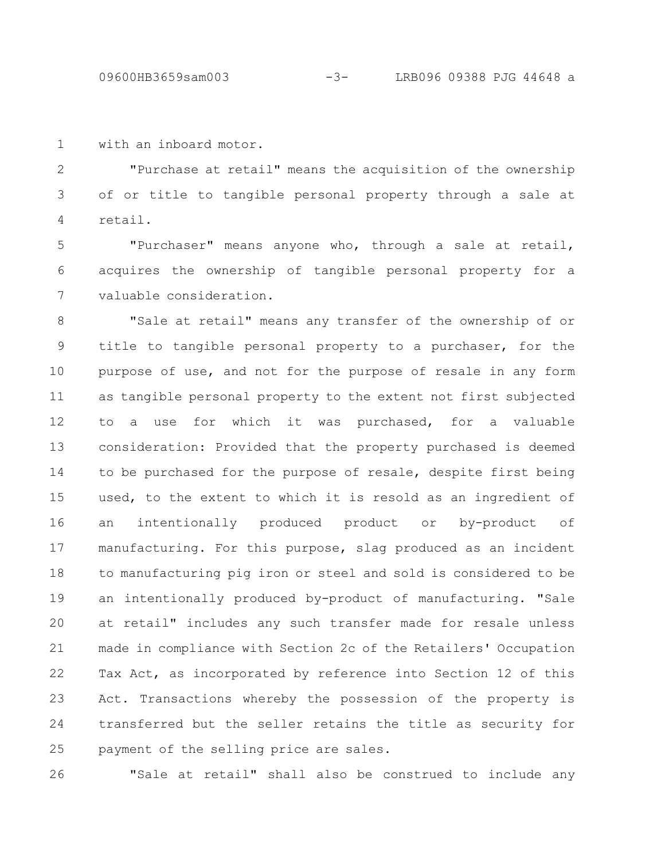with an inboard motor. 1

"Purchase at retail" means the acquisition of the ownership of or title to tangible personal property through a sale at retail. 2 3 4

"Purchaser" means anyone who, through a sale at retail, acquires the ownership of tangible personal property for a valuable consideration. 5 6 7

"Sale at retail" means any transfer of the ownership of or title to tangible personal property to a purchaser, for the purpose of use, and not for the purpose of resale in any form as tangible personal property to the extent not first subjected to a use for which it was purchased, for a valuable consideration: Provided that the property purchased is deemed to be purchased for the purpose of resale, despite first being used, to the extent to which it is resold as an ingredient of an intentionally produced product or by-product of manufacturing. For this purpose, slag produced as an incident to manufacturing pig iron or steel and sold is considered to be an intentionally produced by-product of manufacturing. "Sale at retail" includes any such transfer made for resale unless made in compliance with Section 2c of the Retailers' Occupation Tax Act, as incorporated by reference into Section 12 of this Act. Transactions whereby the possession of the property is transferred but the seller retains the title as security for payment of the selling price are sales. 8 9 10 11 12 13 14 15 16 17 18 19 20 21 22 23 24 25

26

"Sale at retail" shall also be construed to include any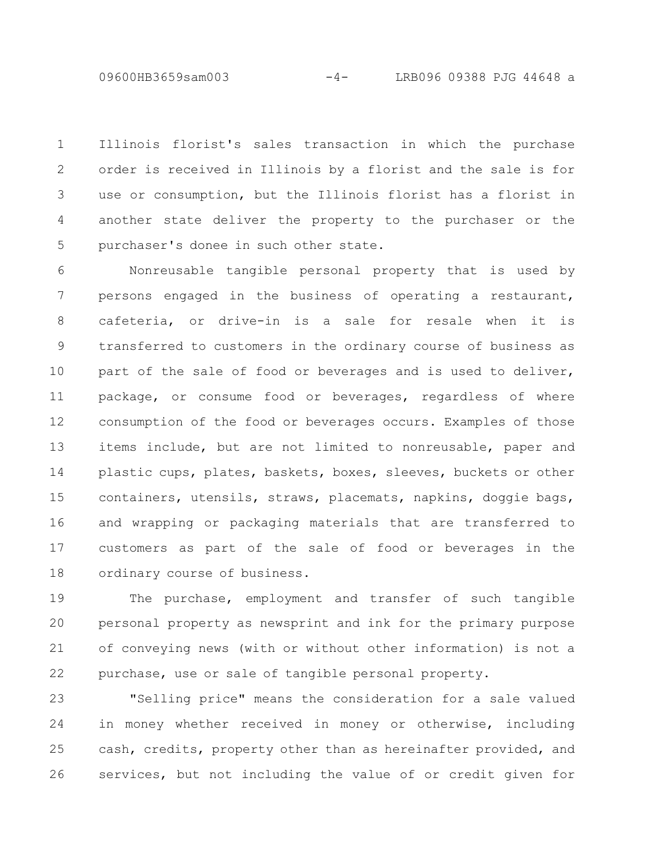09600HB3659sam003 -4- LRB096 09388 PJG 44648 a

Illinois florist's sales transaction in which the purchase order is received in Illinois by a florist and the sale is for use or consumption, but the Illinois florist has a florist in another state deliver the property to the purchaser or the purchaser's donee in such other state. 1 2 3 4 5

Nonreusable tangible personal property that is used by persons engaged in the business of operating a restaurant, cafeteria, or drive-in is a sale for resale when it is transferred to customers in the ordinary course of business as part of the sale of food or beverages and is used to deliver, package, or consume food or beverages, regardless of where consumption of the food or beverages occurs. Examples of those items include, but are not limited to nonreusable, paper and plastic cups, plates, baskets, boxes, sleeves, buckets or other containers, utensils, straws, placemats, napkins, doggie bags, and wrapping or packaging materials that are transferred to customers as part of the sale of food or beverages in the ordinary course of business. 6 7 8 9 10 11 12 13 14 15 16 17 18

The purchase, employment and transfer of such tangible personal property as newsprint and ink for the primary purpose of conveying news (with or without other information) is not a purchase, use or sale of tangible personal property. 19 20 21 22

"Selling price" means the consideration for a sale valued in money whether received in money or otherwise, including cash, credits, property other than as hereinafter provided, and services, but not including the value of or credit given for 23 24 25 26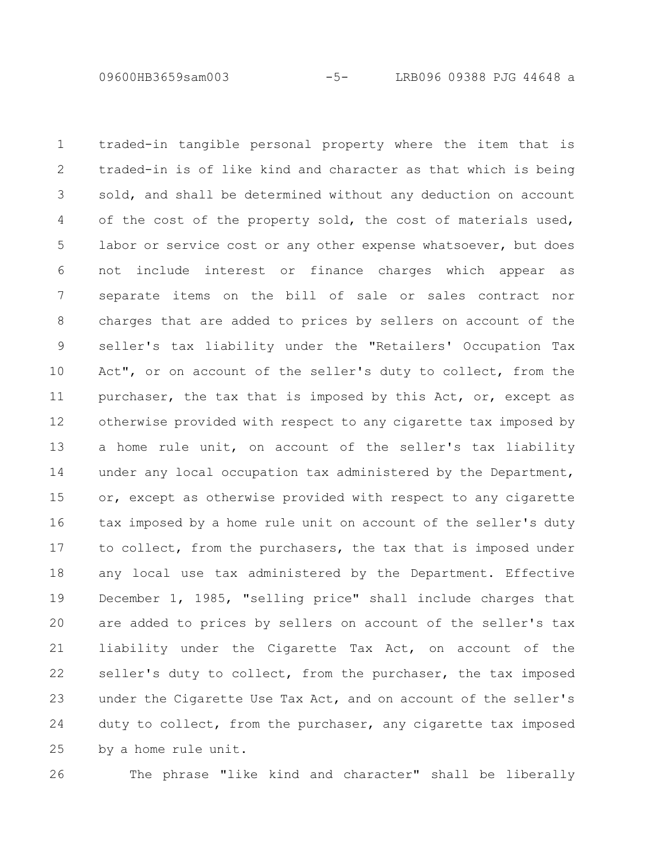09600HB3659sam003 -5- LRB096 09388 PJG 44648 a

traded-in tangible personal property where the item that is traded-in is of like kind and character as that which is being sold, and shall be determined without any deduction on account of the cost of the property sold, the cost of materials used, labor or service cost or any other expense whatsoever, but does not include interest or finance charges which appear as separate items on the bill of sale or sales contract nor charges that are added to prices by sellers on account of the seller's tax liability under the "Retailers' Occupation Tax Act", or on account of the seller's duty to collect, from the purchaser, the tax that is imposed by this Act, or, except as otherwise provided with respect to any cigarette tax imposed by a home rule unit, on account of the seller's tax liability under any local occupation tax administered by the Department, or, except as otherwise provided with respect to any cigarette tax imposed by a home rule unit on account of the seller's duty to collect, from the purchasers, the tax that is imposed under any local use tax administered by the Department. Effective December 1, 1985, "selling price" shall include charges that are added to prices by sellers on account of the seller's tax liability under the Cigarette Tax Act, on account of the seller's duty to collect, from the purchaser, the tax imposed under the Cigarette Use Tax Act, and on account of the seller's duty to collect, from the purchaser, any cigarette tax imposed by a home rule unit. 1 2 3 4 5 6 7 8 9 10 11 12 13 14 15 16 17 18 19 20 21 22 23 24 25

26

The phrase "like kind and character" shall be liberally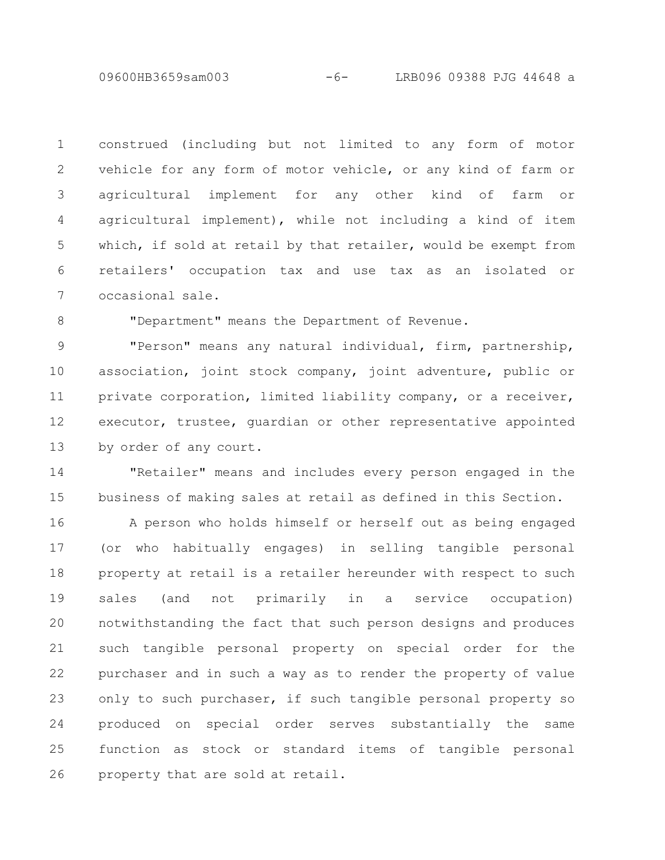09600HB3659sam003 -6- LRB096 09388 PJG 44648 a

construed (including but not limited to any form of motor vehicle for any form of motor vehicle, or any kind of farm or agricultural implement for any other kind of farm or agricultural implement), while not including a kind of item which, if sold at retail by that retailer, would be exempt from retailers' occupation tax and use tax as an isolated or occasional sale. 1 2 3 4 5 6 7

8

"Department" means the Department of Revenue.

"Person" means any natural individual, firm, partnership, association, joint stock company, joint adventure, public or private corporation, limited liability company, or a receiver, executor, trustee, guardian or other representative appointed by order of any court. 9 10 11 12 13

"Retailer" means and includes every person engaged in the business of making sales at retail as defined in this Section. 14 15

A person who holds himself or herself out as being engaged (or who habitually engages) in selling tangible personal property at retail is a retailer hereunder with respect to such sales (and not primarily in a service occupation) notwithstanding the fact that such person designs and produces such tangible personal property on special order for the purchaser and in such a way as to render the property of value only to such purchaser, if such tangible personal property so produced on special order serves substantially the same function as stock or standard items of tangible personal property that are sold at retail. 16 17 18 19 20 21 22 23 24 25 26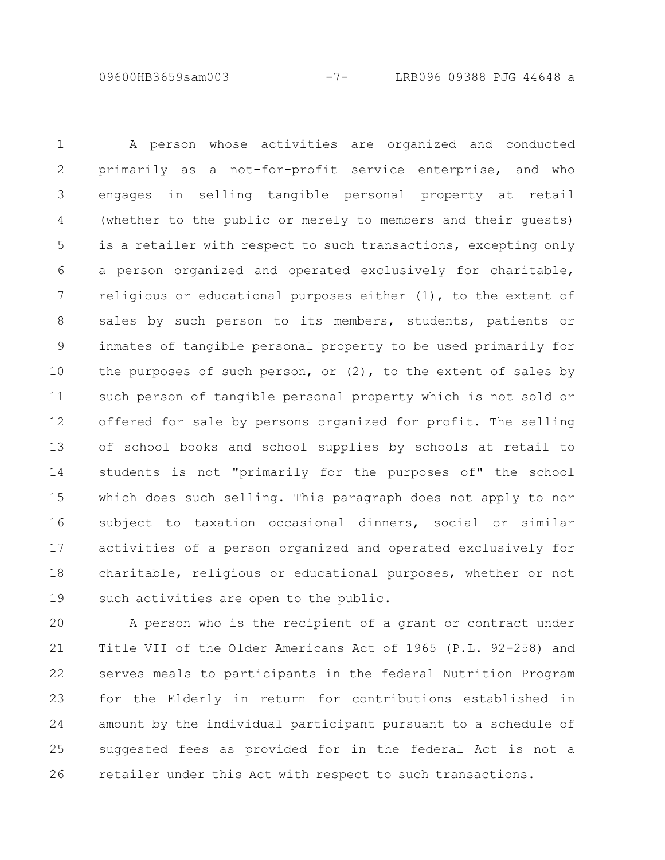09600HB3659sam003 -7- LRB096 09388 PJG 44648 a

A person whose activities are organized and conducted primarily as a not-for-profit service enterprise, and who engages in selling tangible personal property at retail (whether to the public or merely to members and their guests) is a retailer with respect to such transactions, excepting only a person organized and operated exclusively for charitable, religious or educational purposes either (1), to the extent of sales by such person to its members, students, patients or inmates of tangible personal property to be used primarily for the purposes of such person, or  $(2)$ , to the extent of sales by such person of tangible personal property which is not sold or offered for sale by persons organized for profit. The selling of school books and school supplies by schools at retail to students is not "primarily for the purposes of" the school which does such selling. This paragraph does not apply to nor subject to taxation occasional dinners, social or similar activities of a person organized and operated exclusively for charitable, religious or educational purposes, whether or not such activities are open to the public. 1 2 3 4 5 6 7 8 9 10 11 12 13 14 15 16 17 18 19

A person who is the recipient of a grant or contract under Title VII of the Older Americans Act of 1965 (P.L. 92-258) and serves meals to participants in the federal Nutrition Program for the Elderly in return for contributions established in amount by the individual participant pursuant to a schedule of suggested fees as provided for in the federal Act is not a retailer under this Act with respect to such transactions. 20 21 22 23 24 25 26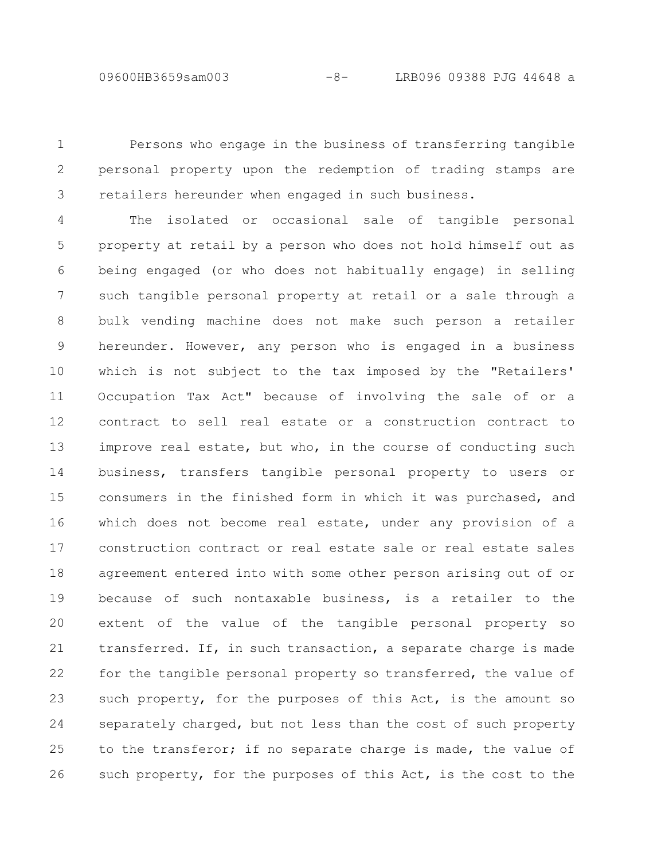09600HB3659sam003 -8- LRB096 09388 PJG 44648 a

Persons who engage in the business of transferring tangible personal property upon the redemption of trading stamps are retailers hereunder when engaged in such business. 1 2 3

The isolated or occasional sale of tangible personal property at retail by a person who does not hold himself out as being engaged (or who does not habitually engage) in selling such tangible personal property at retail or a sale through a bulk vending machine does not make such person a retailer hereunder. However, any person who is engaged in a business which is not subject to the tax imposed by the "Retailers' Occupation Tax Act" because of involving the sale of or a contract to sell real estate or a construction contract to improve real estate, but who, in the course of conducting such business, transfers tangible personal property to users or consumers in the finished form in which it was purchased, and which does not become real estate, under any provision of a construction contract or real estate sale or real estate sales agreement entered into with some other person arising out of or because of such nontaxable business, is a retailer to the extent of the value of the tangible personal property so transferred. If, in such transaction, a separate charge is made for the tangible personal property so transferred, the value of such property, for the purposes of this Act, is the amount so separately charged, but not less than the cost of such property to the transferor; if no separate charge is made, the value of such property, for the purposes of this Act, is the cost to the 4 5 6 7 8 9 10 11 12 13 14 15 16 17 18 19 20 21 22 23 24 25 26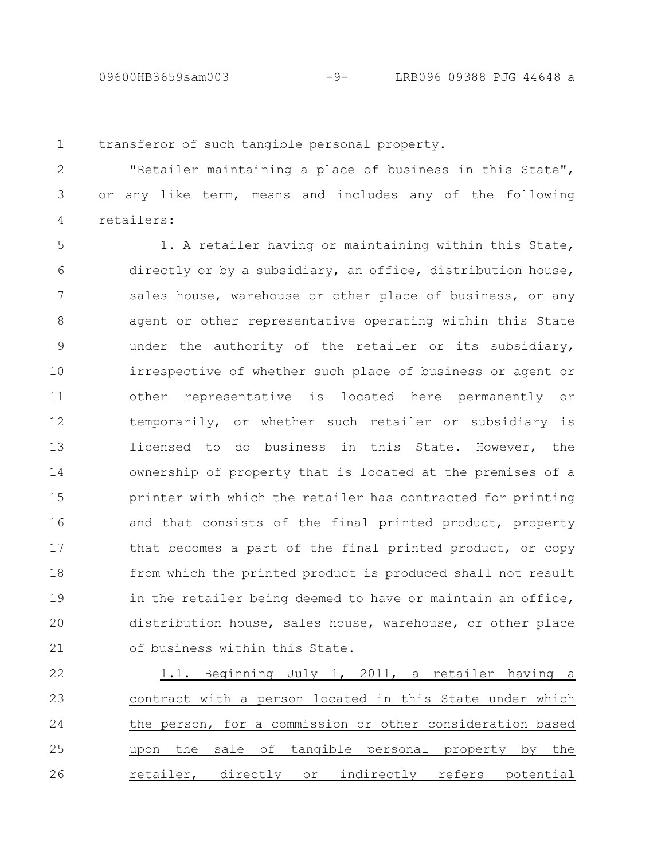transferor of such tangible personal property. 1

"Retailer maintaining a place of business in this State", or any like term, means and includes any of the following retailers: 2 3 4

1. A retailer having or maintaining within this State, directly or by a subsidiary, an office, distribution house, sales house, warehouse or other place of business, or any agent or other representative operating within this State under the authority of the retailer or its subsidiary, irrespective of whether such place of business or agent or other representative is located here permanently or temporarily, or whether such retailer or subsidiary is licensed to do business in this State. However, the ownership of property that is located at the premises of a printer with which the retailer has contracted for printing and that consists of the final printed product, property that becomes a part of the final printed product, or copy from which the printed product is produced shall not result in the retailer being deemed to have or maintain an office, distribution house, sales house, warehouse, or other place of business within this State. 5 6 7 8 9 10 11 12 13 14 15 16 17 18 19 20 21

1.1. Beginning July 1, 2011, a retailer having a contract with a person located in this State under which the person, for a commission or other consideration based upon the sale of tangible personal property by the retailer, directly or indirectly refers potential 22 23 24 25 26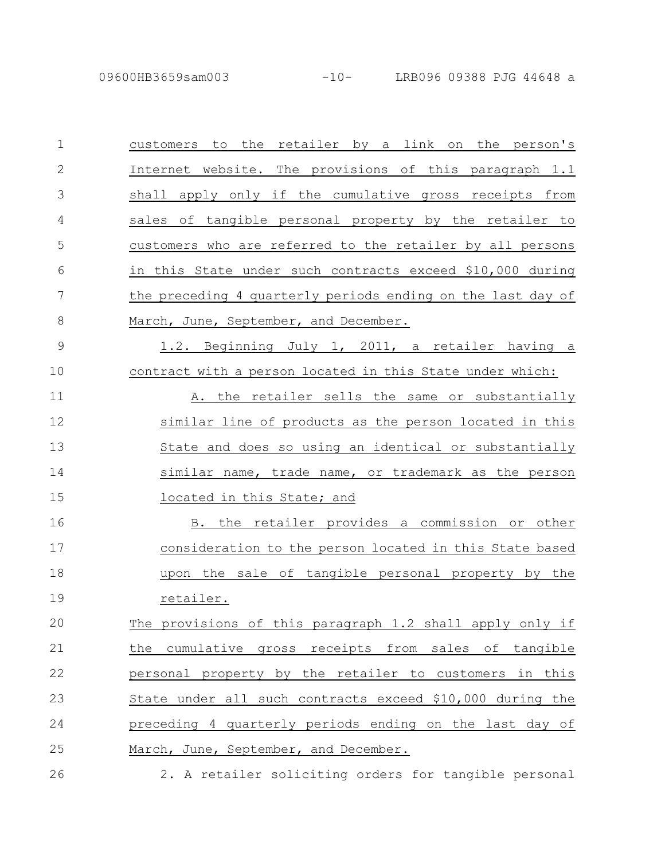customers to the retailer by a link on the person's Internet website. The provisions of this paragraph 1.1 shall apply only if the cumulative gross receipts from sales of tangible personal property by the retailer to customers who are referred to the retailer by all persons in this State under such contracts exceed \$10,000 during the preceding 4 quarterly periods ending on the last day of March, June, September, and December. 1.2. Beginning July 1, 2011, a retailer having a contract with a person located in this State under which: A. the retailer sells the same or substantially similar line of products as the person located in this State and does so using an identical or substantially similar name, trade name, or trademark as the person located in this State; and B. the retailer provides a commission or other consideration to the person located in this State based upon the sale of tangible personal property by the retailer. The provisions of this paragraph 1.2 shall apply only if the cumulative gross receipts from sales of tangible personal property by the retailer to customers in this State under all such contracts exceed \$10,000 during the preceding 4 quarterly periods ending on the last day of March, June, September, and December. 2. A retailer soliciting orders for tangible personal 1 2 3 4 5 6 7 8 9 10 11 12 13 14 15 16 17 18 19 20 21 22 23 24 25 26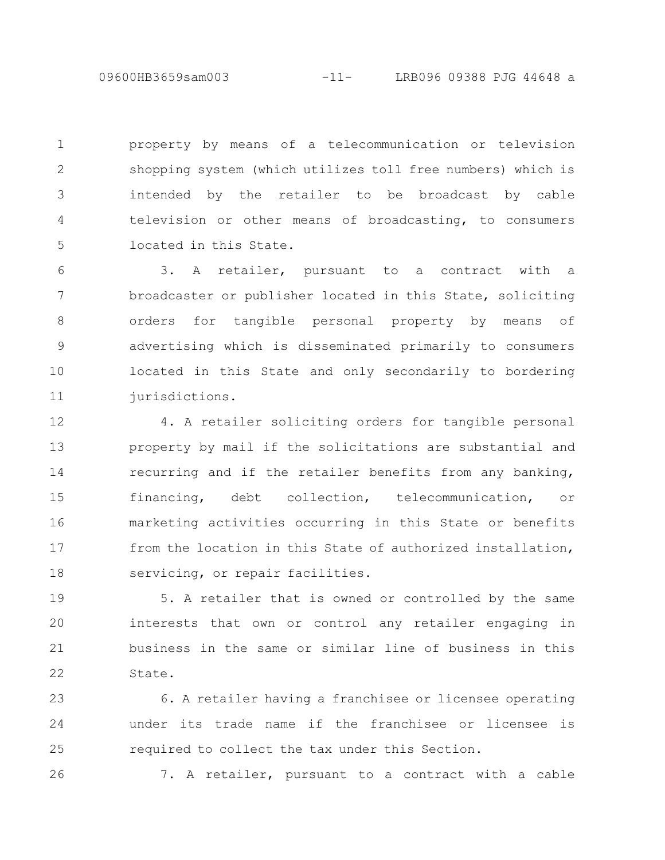09600HB3659sam003 -11- LRB096 09388 PJG 44648 a

property by means of a telecommunication or television shopping system (which utilizes toll free numbers) which is intended by the retailer to be broadcast by cable television or other means of broadcasting, to consumers located in this State. 1 2 3 4 5

3. A retailer, pursuant to a contract with a broadcaster or publisher located in this State, soliciting orders for tangible personal property by means of advertising which is disseminated primarily to consumers located in this State and only secondarily to bordering jurisdictions. 6 7 8 9 10 11

4. A retailer soliciting orders for tangible personal property by mail if the solicitations are substantial and recurring and if the retailer benefits from any banking, financing, debt collection, telecommunication, or marketing activities occurring in this State or benefits from the location in this State of authorized installation, servicing, or repair facilities. 12 13 14 15 16 17 18

5. A retailer that is owned or controlled by the same interests that own or control any retailer engaging in business in the same or similar line of business in this State. 19 20 21 22

6. A retailer having a franchisee or licensee operating under its trade name if the franchisee or licensee is required to collect the tax under this Section. 23 24 25

26

7. A retailer, pursuant to a contract with a cable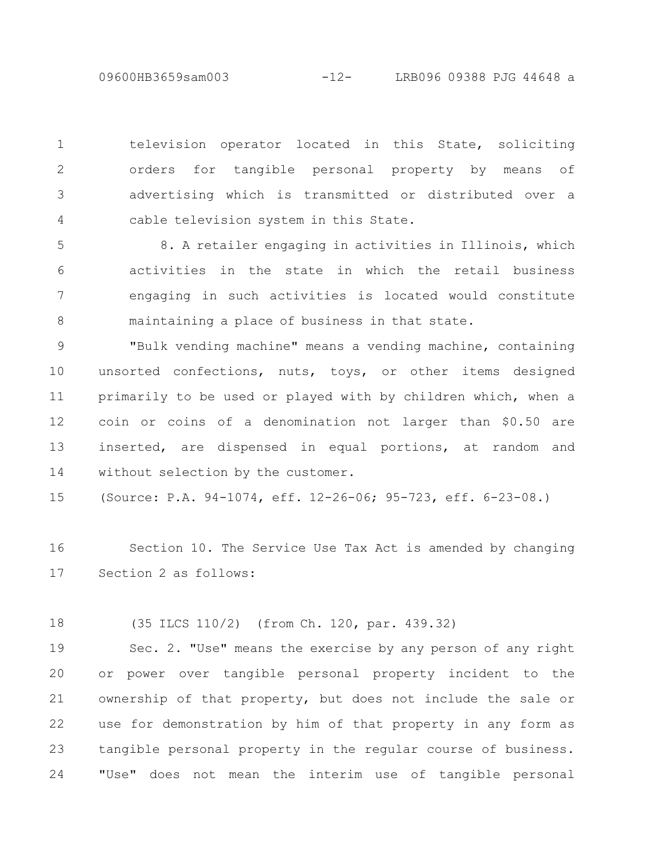09600HB3659sam003 -12- LRB096 09388 PJG 44648 a

television operator located in this State, soliciting orders for tangible personal property by means of advertising which is transmitted or distributed over a cable television system in this State. 1 2 3 4

8. A retailer engaging in activities in Illinois, which activities in the state in which the retail business engaging in such activities is located would constitute maintaining a place of business in that state. 5 6 7 8

"Bulk vending machine" means a vending machine, containing unsorted confections, nuts, toys, or other items designed primarily to be used or played with by children which, when a coin or coins of a denomination not larger than \$0.50 are inserted, are dispensed in equal portions, at random and without selection by the customer. 9 10 11 12 13 14

(Source: P.A. 94-1074, eff. 12-26-06; 95-723, eff. 6-23-08.) 15

Section 10. The Service Use Tax Act is amended by changing Section 2 as follows: 16 17

(35 ILCS 110/2) (from Ch. 120, par. 439.32) 18

Sec. 2. "Use" means the exercise by any person of any right or power over tangible personal property incident to the ownership of that property, but does not include the sale or use for demonstration by him of that property in any form as tangible personal property in the regular course of business. "Use" does not mean the interim use of tangible personal 19 20 21 22 23 24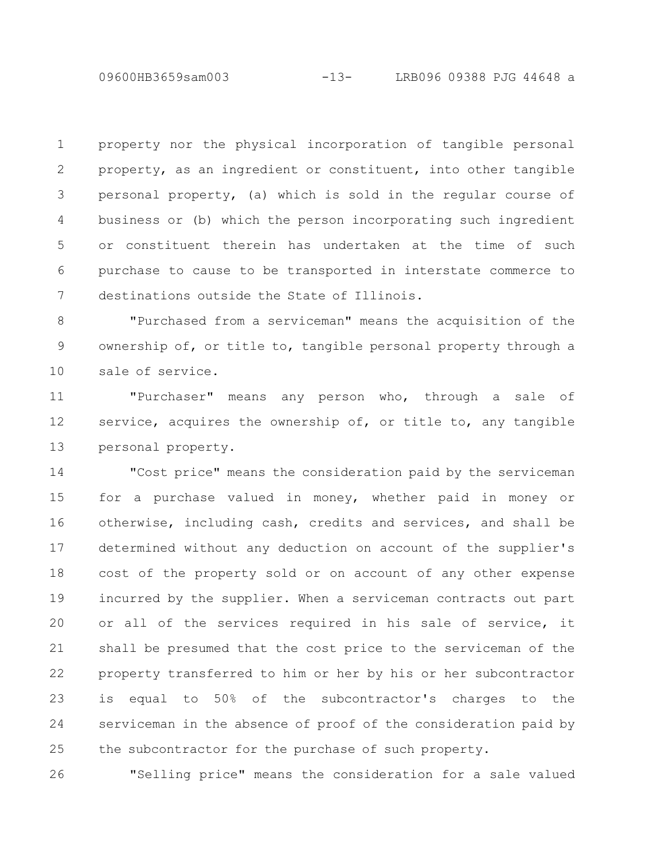09600HB3659sam003 -13- LRB096 09388 PJG 44648 a

property nor the physical incorporation of tangible personal property, as an ingredient or constituent, into other tangible personal property, (a) which is sold in the regular course of business or (b) which the person incorporating such ingredient or constituent therein has undertaken at the time of such purchase to cause to be transported in interstate commerce to destinations outside the State of Illinois. 1 2 3 4 5 6 7

"Purchased from a serviceman" means the acquisition of the ownership of, or title to, tangible personal property through a sale of service. 8 9 10

"Purchaser" means any person who, through a sale of service, acquires the ownership of, or title to, any tangible personal property. 11 12 13

"Cost price" means the consideration paid by the serviceman for a purchase valued in money, whether paid in money or otherwise, including cash, credits and services, and shall be determined without any deduction on account of the supplier's cost of the property sold or on account of any other expense incurred by the supplier. When a serviceman contracts out part or all of the services required in his sale of service, it shall be presumed that the cost price to the serviceman of the property transferred to him or her by his or her subcontractor is equal to 50% of the subcontractor's charges to the serviceman in the absence of proof of the consideration paid by the subcontractor for the purchase of such property. 14 15 16 17 18 19 20 21 22 23 24 25

"Selling price" means the consideration for a sale valued 26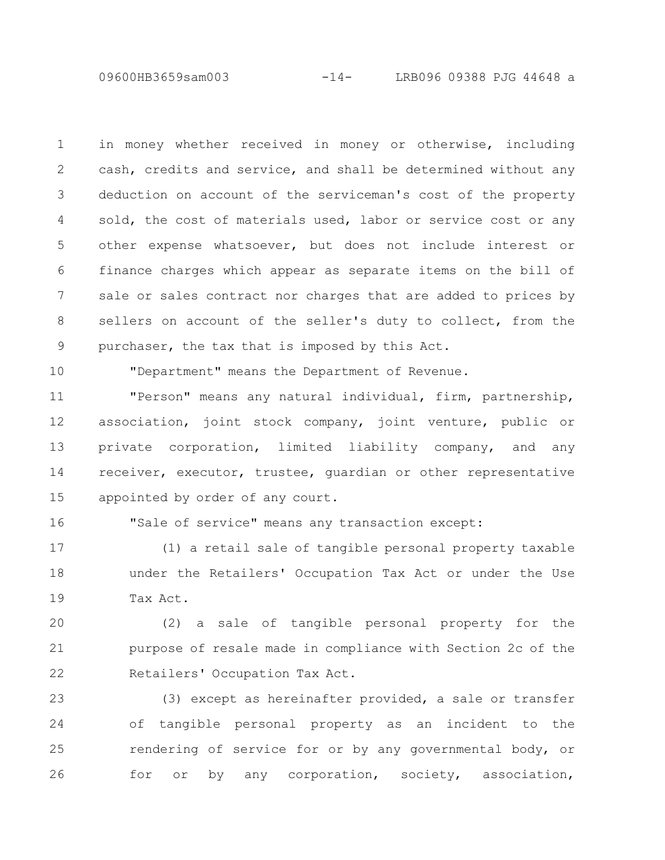09600HB3659sam003 -14- LRB096 09388 PJG 44648 a

in money whether received in money or otherwise, including cash, credits and service, and shall be determined without any deduction on account of the serviceman's cost of the property sold, the cost of materials used, labor or service cost or any other expense whatsoever, but does not include interest or finance charges which appear as separate items on the bill of sale or sales contract nor charges that are added to prices by sellers on account of the seller's duty to collect, from the purchaser, the tax that is imposed by this Act. 1 2 3 4 5 6 7 8 9

10

"Department" means the Department of Revenue.

"Person" means any natural individual, firm, partnership, association, joint stock company, joint venture, public or private corporation, limited liability company, and any receiver, executor, trustee, guardian or other representative appointed by order of any court. 11 12 13 14 15

16

"Sale of service" means any transaction except:

(1) a retail sale of tangible personal property taxable under the Retailers' Occupation Tax Act or under the Use Tax Act. 17 18 19

(2) a sale of tangible personal property for the purpose of resale made in compliance with Section 2c of the Retailers' Occupation Tax Act. 20 21 22

(3) except as hereinafter provided, a sale or transfer of tangible personal property as an incident to the rendering of service for or by any governmental body, or for or by any corporation, society, association, 23 24 25 26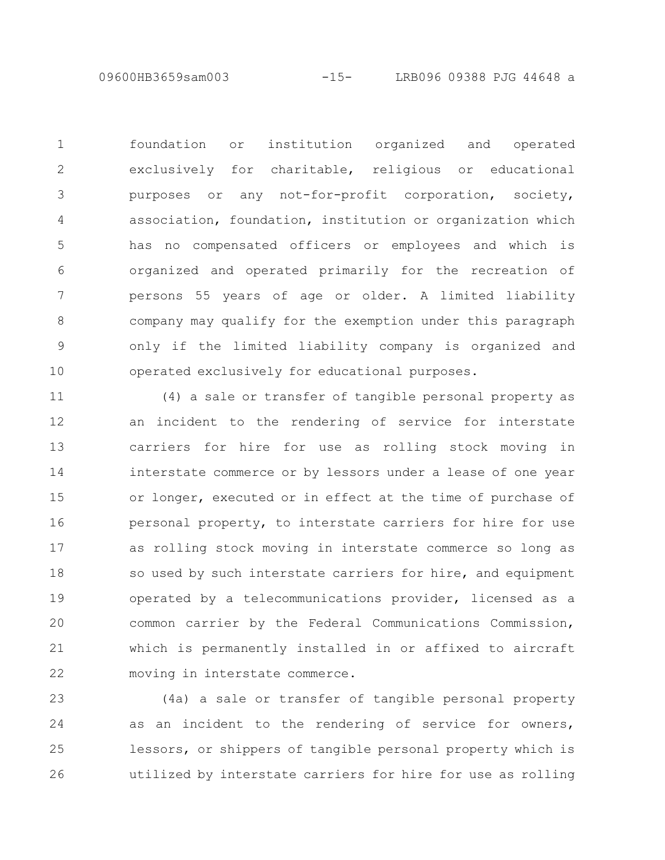09600HB3659sam003 -15- LRB096 09388 PJG 44648 a

foundation or institution organized and operated exclusively for charitable, religious or educational purposes or any not-for-profit corporation, society, association, foundation, institution or organization which has no compensated officers or employees and which is organized and operated primarily for the recreation of persons 55 years of age or older. A limited liability company may qualify for the exemption under this paragraph only if the limited liability company is organized and operated exclusively for educational purposes. 1 2 3 4 5 6 7 8 9 10

(4) a sale or transfer of tangible personal property as an incident to the rendering of service for interstate carriers for hire for use as rolling stock moving in interstate commerce or by lessors under a lease of one year or longer, executed or in effect at the time of purchase of personal property, to interstate carriers for hire for use as rolling stock moving in interstate commerce so long as so used by such interstate carriers for hire, and equipment operated by a telecommunications provider, licensed as a common carrier by the Federal Communications Commission, which is permanently installed in or affixed to aircraft moving in interstate commerce. 11 12 13 14 15 16 17 18 19 20 21 22

(4a) a sale or transfer of tangible personal property as an incident to the rendering of service for owners, lessors, or shippers of tangible personal property which is utilized by interstate carriers for hire for use as rolling 23 24 25 26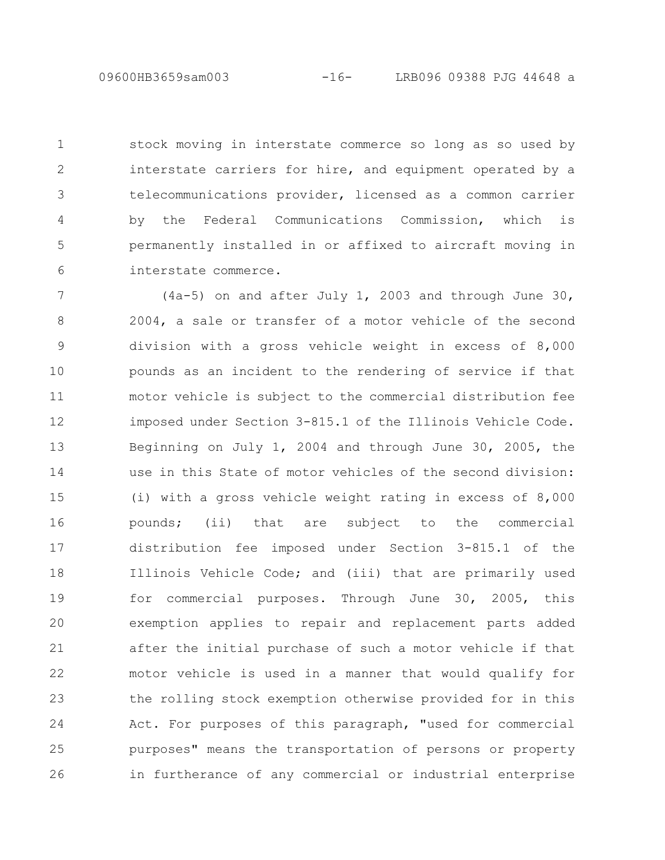09600HB3659sam003 -16- LRB096 09388 PJG 44648 a

stock moving in interstate commerce so long as so used by interstate carriers for hire, and equipment operated by a telecommunications provider, licensed as a common carrier by the Federal Communications Commission, which is permanently installed in or affixed to aircraft moving in interstate commerce. 1 2 3 4 5 6

(4a-5) on and after July 1, 2003 and through June 30, 2004, a sale or transfer of a motor vehicle of the second division with a gross vehicle weight in excess of 8,000 pounds as an incident to the rendering of service if that motor vehicle is subject to the commercial distribution fee imposed under Section 3-815.1 of the Illinois Vehicle Code. Beginning on July 1, 2004 and through June 30, 2005, the use in this State of motor vehicles of the second division: (i) with a gross vehicle weight rating in excess of 8,000 pounds; (ii) that are subject to the commercial distribution fee imposed under Section 3-815.1 of the Illinois Vehicle Code; and (iii) that are primarily used for commercial purposes. Through June 30, 2005, this exemption applies to repair and replacement parts added after the initial purchase of such a motor vehicle if that motor vehicle is used in a manner that would qualify for the rolling stock exemption otherwise provided for in this Act. For purposes of this paragraph, "used for commercial purposes" means the transportation of persons or property in furtherance of any commercial or industrial enterprise 7 8 9 10 11 12 13 14 15 16 17 18 19 20 21 22 23 24 25 26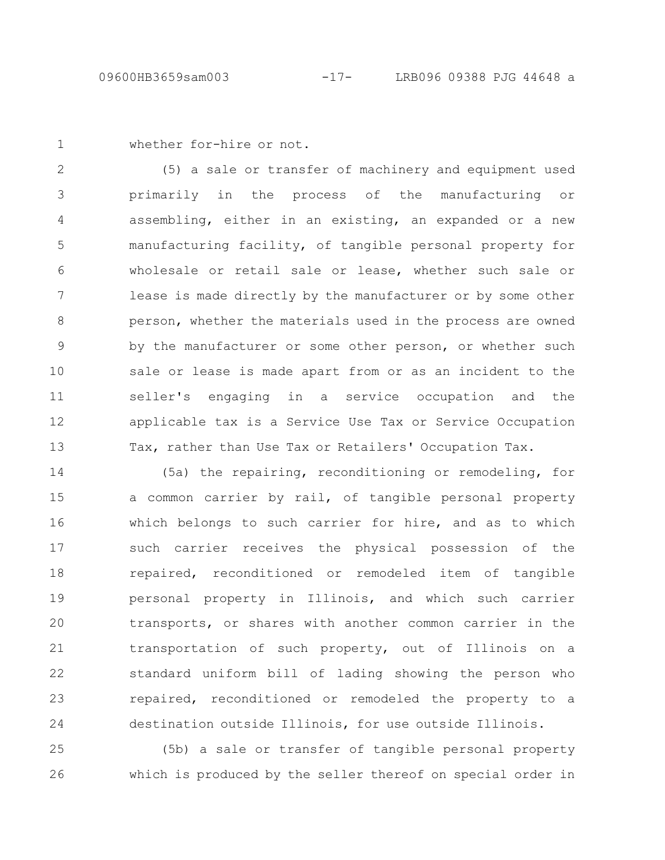1

whether for-hire or not.

(5) a sale or transfer of machinery and equipment used primarily in the process of the manufacturing or assembling, either in an existing, an expanded or a new manufacturing facility, of tangible personal property for wholesale or retail sale or lease, whether such sale or lease is made directly by the manufacturer or by some other person, whether the materials used in the process are owned by the manufacturer or some other person, or whether such sale or lease is made apart from or as an incident to the seller's engaging in a service occupation and the applicable tax is a Service Use Tax or Service Occupation Tax, rather than Use Tax or Retailers' Occupation Tax. 2 3 4 5 6 7 8 9 10 11 12 13

(5a) the repairing, reconditioning or remodeling, for a common carrier by rail, of tangible personal property which belongs to such carrier for hire, and as to which such carrier receives the physical possession of the repaired, reconditioned or remodeled item of tangible personal property in Illinois, and which such carrier transports, or shares with another common carrier in the transportation of such property, out of Illinois on a standard uniform bill of lading showing the person who repaired, reconditioned or remodeled the property to a destination outside Illinois, for use outside Illinois. 14 15 16 17 18 19 20 21 22 23 24

(5b) a sale or transfer of tangible personal property which is produced by the seller thereof on special order in 25 26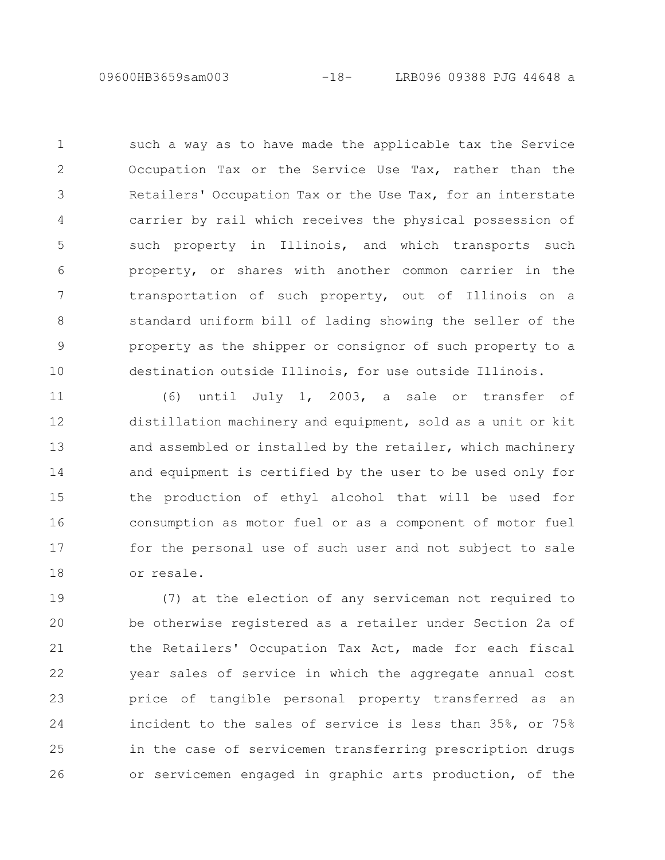09600HB3659sam003 -18- LRB096 09388 PJG 44648 a

such a way as to have made the applicable tax the Service Occupation Tax or the Service Use Tax, rather than the Retailers' Occupation Tax or the Use Tax, for an interstate carrier by rail which receives the physical possession of such property in Illinois, and which transports such property, or shares with another common carrier in the transportation of such property, out of Illinois on a standard uniform bill of lading showing the seller of the property as the shipper or consignor of such property to a destination outside Illinois, for use outside Illinois. 1 2 3 4 5 6 7 8 9 10

(6) until July 1, 2003, a sale or transfer of distillation machinery and equipment, sold as a unit or kit and assembled or installed by the retailer, which machinery and equipment is certified by the user to be used only for the production of ethyl alcohol that will be used for consumption as motor fuel or as a component of motor fuel for the personal use of such user and not subject to sale or resale. 11 12 13 14 15 16 17 18

(7) at the election of any serviceman not required to be otherwise registered as a retailer under Section 2a of the Retailers' Occupation Tax Act, made for each fiscal year sales of service in which the aggregate annual cost price of tangible personal property transferred as an incident to the sales of service is less than 35%, or 75% in the case of servicemen transferring prescription drugs or servicemen engaged in graphic arts production, of the 19 20 21 22 23 24 25 26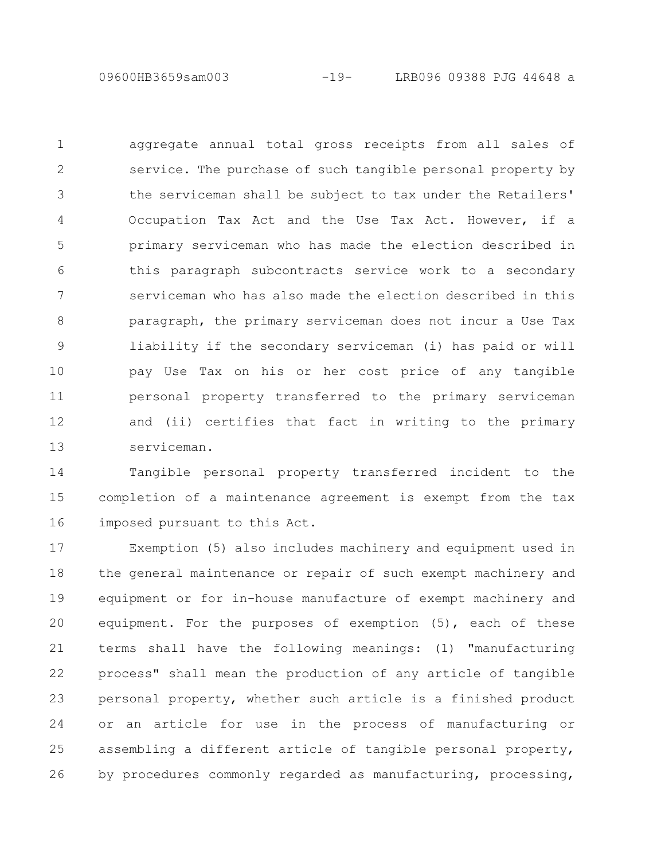09600HB3659sam003 -19- LRB096 09388 PJG 44648 a

aggregate annual total gross receipts from all sales of service. The purchase of such tangible personal property by the serviceman shall be subject to tax under the Retailers' Occupation Tax Act and the Use Tax Act. However, if a primary serviceman who has made the election described in this paragraph subcontracts service work to a secondary serviceman who has also made the election described in this paragraph, the primary serviceman does not incur a Use Tax liability if the secondary serviceman (i) has paid or will pay Use Tax on his or her cost price of any tangible personal property transferred to the primary serviceman and (ii) certifies that fact in writing to the primary serviceman. 1 2 3 4 5 6 7 8 9 10 11 12 13

Tangible personal property transferred incident to the completion of a maintenance agreement is exempt from the tax imposed pursuant to this Act. 14 15 16

Exemption (5) also includes machinery and equipment used in the general maintenance or repair of such exempt machinery and equipment or for in-house manufacture of exempt machinery and equipment. For the purposes of exemption (5), each of these terms shall have the following meanings: (1) "manufacturing process" shall mean the production of any article of tangible personal property, whether such article is a finished product or an article for use in the process of manufacturing or assembling a different article of tangible personal property, by procedures commonly regarded as manufacturing, processing, 17 18 19 20 21 22 23 24 25 26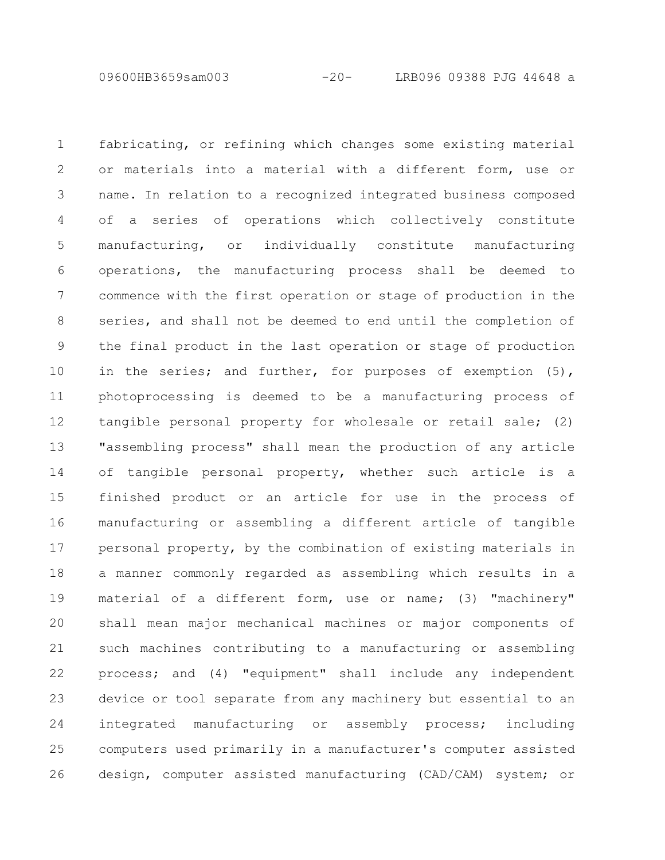09600HB3659sam003 -20- LRB096 09388 PJG 44648 a

fabricating, or refining which changes some existing material or materials into a material with a different form, use or name. In relation to a recognized integrated business composed of a series of operations which collectively constitute manufacturing, or individually constitute manufacturing operations, the manufacturing process shall be deemed to commence with the first operation or stage of production in the series, and shall not be deemed to end until the completion of the final product in the last operation or stage of production in the series; and further, for purposes of exemption (5), photoprocessing is deemed to be a manufacturing process of tangible personal property for wholesale or retail sale; (2) "assembling process" shall mean the production of any article of tangible personal property, whether such article is a finished product or an article for use in the process of manufacturing or assembling a different article of tangible personal property, by the combination of existing materials in a manner commonly regarded as assembling which results in a material of a different form, use or name; (3) "machinery" shall mean major mechanical machines or major components of such machines contributing to a manufacturing or assembling process; and (4) "equipment" shall include any independent device or tool separate from any machinery but essential to an integrated manufacturing or assembly process; including computers used primarily in a manufacturer's computer assisted design, computer assisted manufacturing (CAD/CAM) system; or 1 2 3 4 5 6 7 8 9 10 11 12 13 14 15 16 17 18 19 20 21 22 23 24 25 26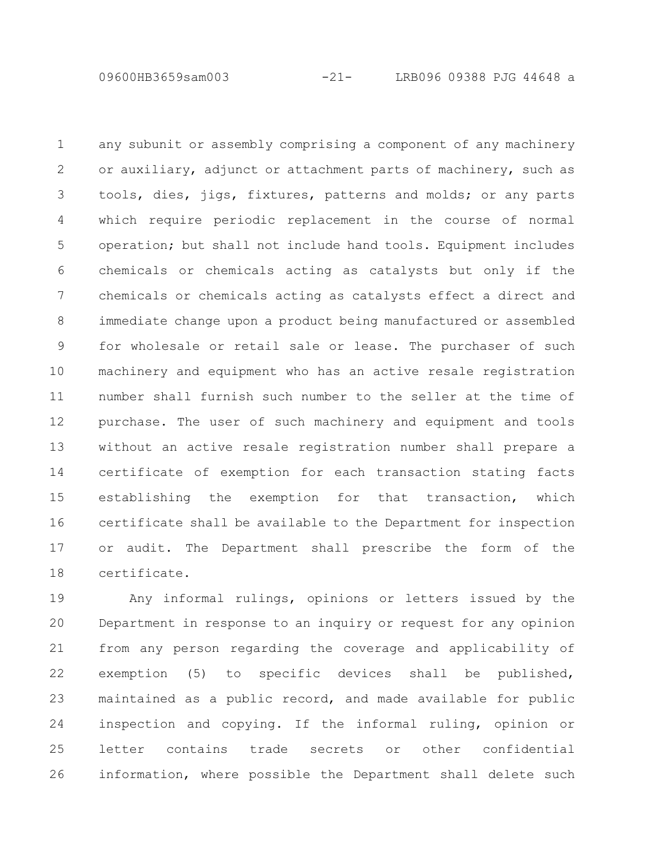09600HB3659sam003 -21- LRB096 09388 PJG 44648 a

any subunit or assembly comprising a component of any machinery or auxiliary, adjunct or attachment parts of machinery, such as tools, dies, jigs, fixtures, patterns and molds; or any parts which require periodic replacement in the course of normal operation; but shall not include hand tools. Equipment includes chemicals or chemicals acting as catalysts but only if the chemicals or chemicals acting as catalysts effect a direct and immediate change upon a product being manufactured or assembled for wholesale or retail sale or lease. The purchaser of such machinery and equipment who has an active resale registration number shall furnish such number to the seller at the time of purchase. The user of such machinery and equipment and tools without an active resale registration number shall prepare a certificate of exemption for each transaction stating facts establishing the exemption for that transaction, which certificate shall be available to the Department for inspection or audit. The Department shall prescribe the form of the certificate. 1 2 3 4 5 6 7 8 9 10 11 12 13 14 15 16 17 18

Any informal rulings, opinions or letters issued by the Department in response to an inquiry or request for any opinion from any person regarding the coverage and applicability of exemption (5) to specific devices shall be published, maintained as a public record, and made available for public inspection and copying. If the informal ruling, opinion or letter contains trade secrets or other confidential information, where possible the Department shall delete such 19 20 21 22 23 24 25 26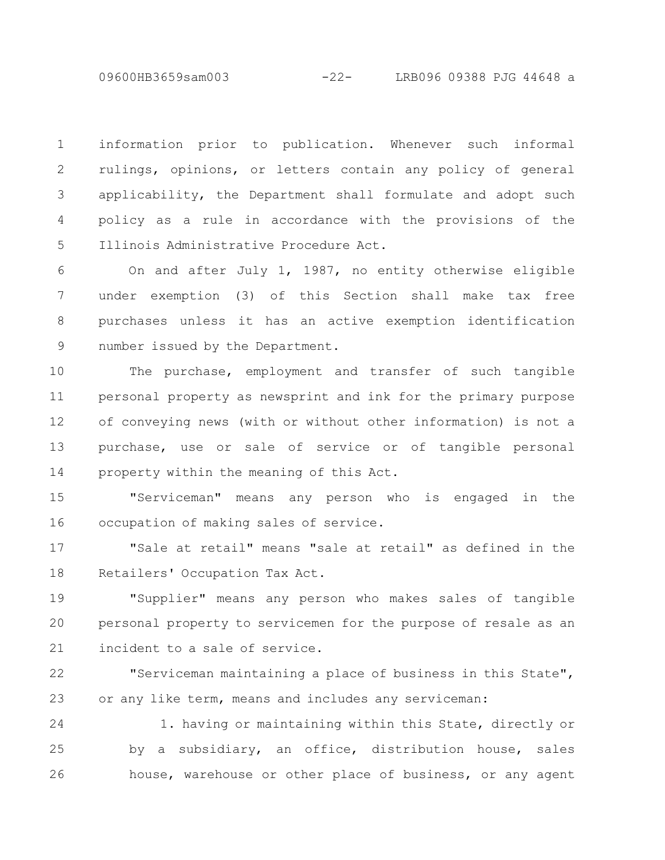09600HB3659sam003 -22- LRB096 09388 PJG 44648 a

information prior to publication. Whenever such informal rulings, opinions, or letters contain any policy of general applicability, the Department shall formulate and adopt such policy as a rule in accordance with the provisions of the Illinois Administrative Procedure Act. 1 2 3 4 5

On and after July 1, 1987, no entity otherwise eligible under exemption (3) of this Section shall make tax free purchases unless it has an active exemption identification number issued by the Department. 6 7 8 9

The purchase, employment and transfer of such tangible personal property as newsprint and ink for the primary purpose of conveying news (with or without other information) is not a purchase, use or sale of service or of tangible personal property within the meaning of this Act. 10 11 12 13 14

"Serviceman" means any person who is engaged in the occupation of making sales of service. 15 16

"Sale at retail" means "sale at retail" as defined in the Retailers' Occupation Tax Act. 17 18

"Supplier" means any person who makes sales of tangible personal property to servicemen for the purpose of resale as an incident to a sale of service. 19 20 21

"Serviceman maintaining a place of business in this State", or any like term, means and includes any serviceman: 22 23

1. having or maintaining within this State, directly or by a subsidiary, an office, distribution house, sales house, warehouse or other place of business, or any agent 24 25 26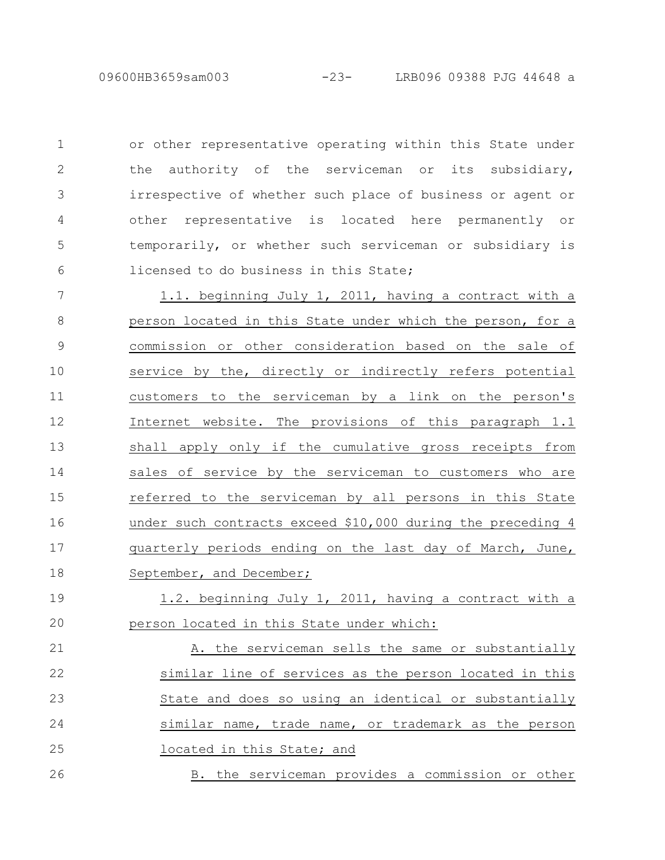09600HB3659sam003 -23- LRB096 09388 PJG 44648 a

or other representative operating within this State under the authority of the serviceman or its subsidiary, irrespective of whether such place of business or agent or other representative is located here permanently or temporarily, or whether such serviceman or subsidiary is licensed to do business in this State; 1 2 3 4 5 6

1.1. beginning July 1, 2011, having a contract with a person located in this State under which the person, for a commission or other consideration based on the sale of service by the, directly or indirectly refers potential customers to the serviceman by a link on the person's Internet website. The provisions of this paragraph 1.1 shall apply only if the cumulative gross receipts from sales of service by the serviceman to customers who are referred to the serviceman by all persons in this State under such contracts exceed \$10,000 during the preceding 4 quarterly periods ending on the last day of March, June, September, and December; 7 8 9 10 11 12 13 14 15 16 17 18

1.2. beginning July 1, 2011, having a contract with a person located in this State under which: 19 20

A. the serviceman sells the same or substantially similar line of services as the person located in this State and does so using an identical or substantially similar name, trade name, or trademark as the person located in this State; and 21 22 23 24 25

26

B. the serviceman provides a commission or other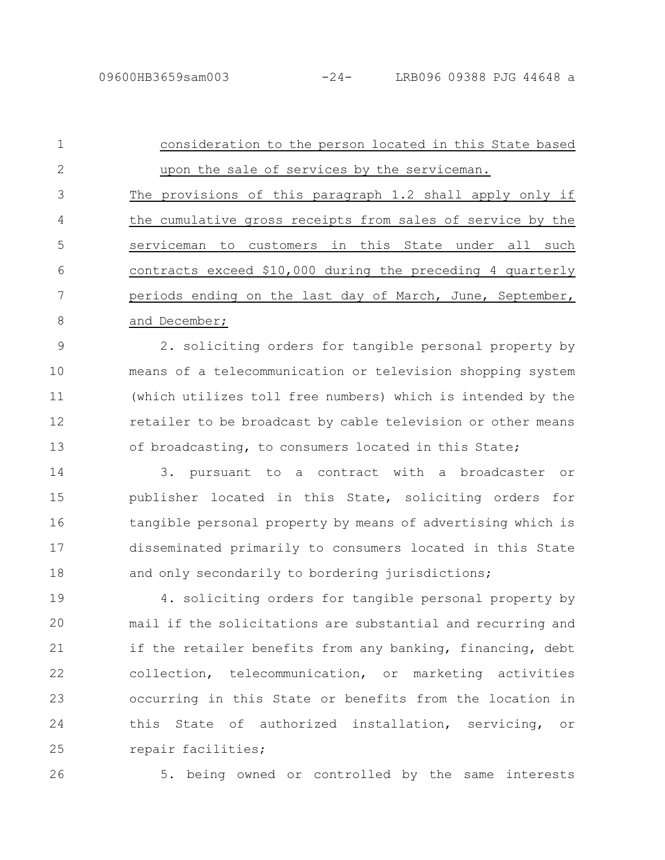consideration to the person located in this State based upon the sale of services by the serviceman. The provisions of this paragraph 1.2 shall apply only if the cumulative gross receipts from sales of service by the serviceman to customers in this State under all such contracts exceed \$10,000 during the preceding 4 quarterly periods ending on the last day of March, June, September, and December; 1 2 3 4 5 6 7 8

2. soliciting orders for tangible personal property by means of a telecommunication or television shopping system (which utilizes toll free numbers) which is intended by the retailer to be broadcast by cable television or other means of broadcasting, to consumers located in this State; 9 10 11 12 13

3. pursuant to a contract with a broadcaster or publisher located in this State, soliciting orders for tangible personal property by means of advertising which is disseminated primarily to consumers located in this State and only secondarily to bordering jurisdictions; 14 15 16 17 18

4. soliciting orders for tangible personal property by mail if the solicitations are substantial and recurring and if the retailer benefits from any banking, financing, debt collection, telecommunication, or marketing activities occurring in this State or benefits from the location in this State of authorized installation, servicing, or repair facilities; 19 20 21 22 23 24 25

26

5. being owned or controlled by the same interests